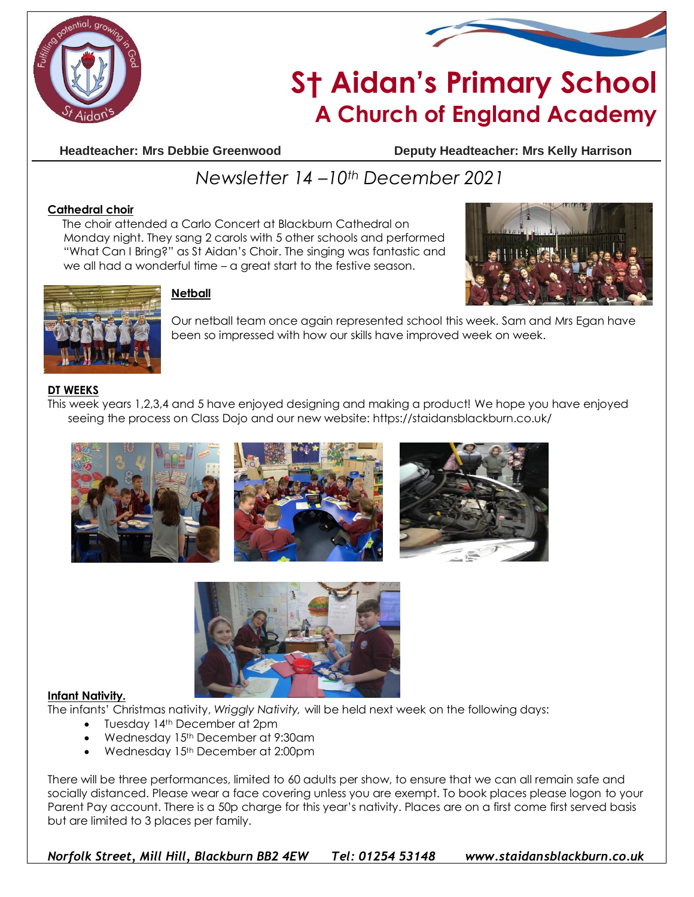



# **S† Aidan's Primary School A Church of England Academy**

**Headteacher: Mrs Debbie Greenwood Deputy Headteacher: Mrs Kelly Harrison**

## *Newsletter 14 –10th December 2021*

#### **Cathedral choir**

 The choir attended a Carlo Concert at Blackburn Cathedral on Monday night. They sang 2 carols with 5 other schools and performed "What Can I Bring?" as St Aidan's Choir. The singing was fantastic and we all had a wonderful time – a great start to the festive season.





### **Netball**

Our netball team once again represented school this week. Sam and Mrs Egan have been so impressed with how our skills have improved week on week.

#### **DT WEEKS**

This week years 1,2,3,4 and 5 have enjoyed designing and making a product! We hope you have enjoyed seeing the process on Class Dojo and our new website: https://staidansblackburn.co.uk/









#### **Infant Nativity.**

The infants' Christmas nativity, *Wriggly Nativity,* will be held next week on the following days:

- Tuesday 14<sup>th</sup> December at 2pm
- Wednesday 15th December at 9:30am
- Wednesday 15<sup>th</sup> December at 2:00pm

There will be three performances, limited to 60 adults per show, to ensure that we can all remain safe and socially distanced. Please wear a face covering unless you are exempt. To book places please logon to your Parent Pay account. There is a 50p charge for this year's nativity. Places are on a first come first served basis but are limited to 3 places per family.

*Norfolk Street, Mill Hill, Blackburn BB2 4EW Tel: 01254 53148 www.staidansblackburn.co.uk*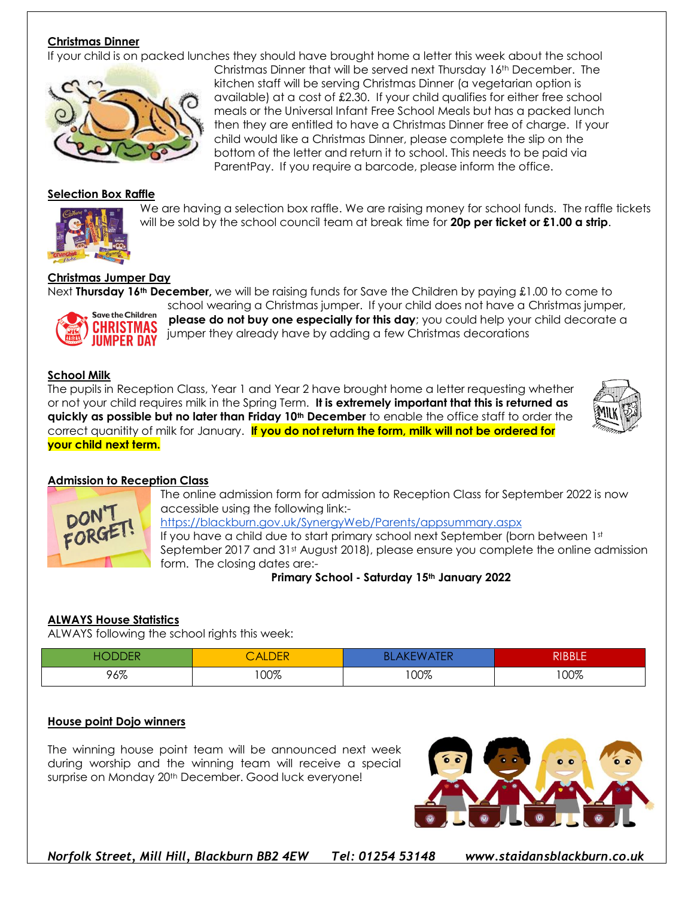#### **Christmas Dinner**

If your child is on packed lunches they should have brought home a letter this week about the school



#### **Selection Box Raffle**



We are having a selection box raffle. We are raising money for school funds. The raffle tickets will be sold by the school council team at break time for **20p per ticket or £1.00 a strip**.

#### **Christmas Jumper Day**

Save the Children **HRISTMAS** MPER DA'

Next **Thursday 16th December,** we will be raising funds for Save the Children by paying £1.00 to come to school wearing a Christmas jumper. If your child does not have a Christmas jumper, **please do not buy one especially for this day**; you could help your child decorate a jumper they already have by adding a few Christmas decorations

#### **School Milk**

The pupils in Reception Class, Year 1 and Year 2 have brought home a letter requesting whether or not your child requires milk in the Spring Term. **It is extremely important that this is returned as quickly as possible but no later than Friday 10th December** to enable the office staff to order the correct quanitity of milk for January. **If you do not return the form, milk will not be ordered for your child next term.**



#### **Admission to Reception Class**



The online admission form for admission to Reception Class for September 2022 is now accessible using the following link: <https://blackburn.gov.uk/SynergyWeb/Parents/appsummary.aspx> If you have a child due to start primary school next September (born between 1st September 2017 and 31<sup>st</sup> August 2018), please ensure you complete the online admission form. The closing dates are:-

**Primary School - Saturday 15th January 2022**

#### **ALWAYS House Statistics**

ALWAYS following the school rights this week:

| н٥<br>ノヒド | CALDER | <b><i>IATER</i></b><br>BL<br>AILN<br>n. | <b>RIBBLE</b> |
|-----------|--------|-----------------------------------------|---------------|
| 96%       | 100%   | 100%                                    | 100%          |

#### **House point Dojo winners**

The winning house point team will be announced next week during worship and the winning team will receive a special surprise on Monday 20<sup>th</sup> December. Good luck everyone!



*Norfolk Street, Mill Hill, Blackburn BB2 4EW Tel: 01254 53148 www.staidansblackburn.co.uk*